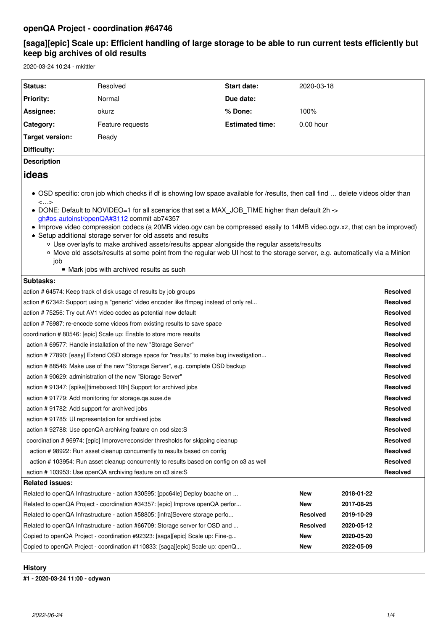# **openQA Project - coordination #64746**

# **[saga][epic] Scale up: Efficient handling of large storage to be able to run current tests efficiently but keep big archives of old results**

2020-03-24 10:24 - mkittler

| Status:                                                                                                                                                                                                                                                                                                                                                                                                                                                                                                                                                                                                                                                                                                                                                                                       | Resolved                                                                     | <b>Start date:</b>     | 2020-03-18 |            |                 |
|-----------------------------------------------------------------------------------------------------------------------------------------------------------------------------------------------------------------------------------------------------------------------------------------------------------------------------------------------------------------------------------------------------------------------------------------------------------------------------------------------------------------------------------------------------------------------------------------------------------------------------------------------------------------------------------------------------------------------------------------------------------------------------------------------|------------------------------------------------------------------------------|------------------------|------------|------------|-----------------|
| <b>Priority:</b>                                                                                                                                                                                                                                                                                                                                                                                                                                                                                                                                                                                                                                                                                                                                                                              | Normal                                                                       | Due date:              |            |            |                 |
| Assignee:                                                                                                                                                                                                                                                                                                                                                                                                                                                                                                                                                                                                                                                                                                                                                                                     | okurz                                                                        | % Done:                | 100%       |            |                 |
| Category:                                                                                                                                                                                                                                                                                                                                                                                                                                                                                                                                                                                                                                                                                                                                                                                     | Feature requests                                                             | <b>Estimated time:</b> | 0.00 hour  |            |                 |
| <b>Target version:</b>                                                                                                                                                                                                                                                                                                                                                                                                                                                                                                                                                                                                                                                                                                                                                                        | Ready                                                                        |                        |            |            |                 |
| Difficulty:                                                                                                                                                                                                                                                                                                                                                                                                                                                                                                                                                                                                                                                                                                                                                                                   |                                                                              |                        |            |            |                 |
| <b>Description</b>                                                                                                                                                                                                                                                                                                                                                                                                                                                                                                                                                                                                                                                                                                                                                                            |                                                                              |                        |            |            |                 |
| ideas                                                                                                                                                                                                                                                                                                                                                                                                                                                                                                                                                                                                                                                                                                                                                                                         |                                                                              |                        |            |            |                 |
| • OSD specific: cron job which checks if df is showing low space available for /results, then call find  delete videos older than<br>$\langle \ldots \rangle$<br>• DONE: Default to NOVIDEO=1 for all scenarios that set a MAX JOB TIME higher than default 2h -><br>gh#os-autoinst/openQA#3112 commit ab74357<br>• Improve video compression codecs (a 20MB video.ogv can be compressed easily to 14MB video.ogv.xz, that can be improved)<br>• Setup additional storage server for old assets and results<br>○ Use overlayfs to make archived assets/results appear alongside the regular assets/results<br>○ Move old assets/results at some point from the regular web UI host to the storage server, e.g. automatically via a Minion<br>job<br>• Mark jobs with archived results as such |                                                                              |                        |            |            |                 |
| Subtasks:                                                                                                                                                                                                                                                                                                                                                                                                                                                                                                                                                                                                                                                                                                                                                                                     |                                                                              |                        |            |            |                 |
| action #64574: Keep track of disk usage of results by job groups                                                                                                                                                                                                                                                                                                                                                                                                                                                                                                                                                                                                                                                                                                                              |                                                                              |                        |            |            | <b>Resolved</b> |
| action # 67342: Support using a "generic" video encoder like ffmpeg instead of only rel                                                                                                                                                                                                                                                                                                                                                                                                                                                                                                                                                                                                                                                                                                       |                                                                              |                        |            |            | <b>Resolved</b> |
| action #75256: Try out AV1 video codec as potential new default                                                                                                                                                                                                                                                                                                                                                                                                                                                                                                                                                                                                                                                                                                                               |                                                                              |                        |            |            | <b>Resolved</b> |
| action #76987: re-encode some videos from existing results to save space                                                                                                                                                                                                                                                                                                                                                                                                                                                                                                                                                                                                                                                                                                                      |                                                                              |                        |            |            | <b>Resolved</b> |
| coordination # 80546: [epic] Scale up: Enable to store more results                                                                                                                                                                                                                                                                                                                                                                                                                                                                                                                                                                                                                                                                                                                           |                                                                              |                        |            |            | <b>Resolved</b> |
| action #69577: Handle installation of the new "Storage Server"                                                                                                                                                                                                                                                                                                                                                                                                                                                                                                                                                                                                                                                                                                                                |                                                                              |                        |            |            | <b>Resolved</b> |
| action #77890: [easy] Extend OSD storage space for "results" to make bug investigation                                                                                                                                                                                                                                                                                                                                                                                                                                                                                                                                                                                                                                                                                                        |                                                                              |                        |            |            | <b>Resolved</b> |
| action #88546: Make use of the new "Storage Server", e.g. complete OSD backup                                                                                                                                                                                                                                                                                                                                                                                                                                                                                                                                                                                                                                                                                                                 |                                                                              |                        |            |            | <b>Resolved</b> |
| action # 90629: administration of the new "Storage Server"                                                                                                                                                                                                                                                                                                                                                                                                                                                                                                                                                                                                                                                                                                                                    |                                                                              |                        |            |            | <b>Resolved</b> |
| action # 91347: [spike][timeboxed:18h] Support for archived jobs                                                                                                                                                                                                                                                                                                                                                                                                                                                                                                                                                                                                                                                                                                                              |                                                                              |                        |            |            | <b>Resolved</b> |
| action #91779: Add monitoring for storage.qa.suse.de                                                                                                                                                                                                                                                                                                                                                                                                                                                                                                                                                                                                                                                                                                                                          |                                                                              |                        |            |            | <b>Resolved</b> |
| action # 91782: Add support for archived jobs                                                                                                                                                                                                                                                                                                                                                                                                                                                                                                                                                                                                                                                                                                                                                 |                                                                              |                        |            |            | <b>Resolved</b> |
| action #91785: UI representation for archived jobs                                                                                                                                                                                                                                                                                                                                                                                                                                                                                                                                                                                                                                                                                                                                            |                                                                              |                        |            |            | <b>Resolved</b> |
| action #92788: Use openQA archiving feature on osd size:S                                                                                                                                                                                                                                                                                                                                                                                                                                                                                                                                                                                                                                                                                                                                     |                                                                              |                        |            |            | <b>Resolved</b> |
| coordination #96974: [epic] Improve/reconsider thresholds for skipping cleanup                                                                                                                                                                                                                                                                                                                                                                                                                                                                                                                                                                                                                                                                                                                |                                                                              |                        |            |            | Resolved        |
| action # 98922: Run asset cleanup concurrently to results based on config                                                                                                                                                                                                                                                                                                                                                                                                                                                                                                                                                                                                                                                                                                                     |                                                                              |                        |            |            | <b>Resolved</b> |
| action #103954: Run asset cleanup concurrently to results based on config on o3 as well                                                                                                                                                                                                                                                                                                                                                                                                                                                                                                                                                                                                                                                                                                       |                                                                              |                        |            |            | Resolved        |
|                                                                                                                                                                                                                                                                                                                                                                                                                                                                                                                                                                                                                                                                                                                                                                                               | action #103953: Use openQA archiving feature on o3 size:S                    |                        |            |            | <b>Resolved</b> |
| <b>Related issues:</b>                                                                                                                                                                                                                                                                                                                                                                                                                                                                                                                                                                                                                                                                                                                                                                        |                                                                              |                        |            |            |                 |
|                                                                                                                                                                                                                                                                                                                                                                                                                                                                                                                                                                                                                                                                                                                                                                                               | Related to openQA Infrastructure - action #30595: [ppc64le] Deploy bcache on |                        | New        | 2018-01-22 |                 |
| Related to openQA Project - coordination #34357: [epic] Improve openQA perfor                                                                                                                                                                                                                                                                                                                                                                                                                                                                                                                                                                                                                                                                                                                 |                                                                              |                        | New        | 2017-08-25 |                 |
| Related to openQA Infrastructure - action #58805: [infra]Severe storage perfo                                                                                                                                                                                                                                                                                                                                                                                                                                                                                                                                                                                                                                                                                                                 |                                                                              |                        | Resolved   | 2019-10-29 |                 |
| Related to openQA Infrastructure - action #66709: Storage server for OSD and                                                                                                                                                                                                                                                                                                                                                                                                                                                                                                                                                                                                                                                                                                                  |                                                                              |                        | Resolved   | 2020-05-12 |                 |
| Copied to openQA Project - coordination #92323: [saga][epic] Scale up: Fine-g                                                                                                                                                                                                                                                                                                                                                                                                                                                                                                                                                                                                                                                                                                                 |                                                                              |                        | New        | 2020-05-20 |                 |
| Copied to openQA Project - coordination #110833: [saga][epic] Scale up: openQ                                                                                                                                                                                                                                                                                                                                                                                                                                                                                                                                                                                                                                                                                                                 |                                                                              |                        | <b>New</b> | 2022-05-09 |                 |

## **History**

**#1 - 2020-03-24 11:00 - cdywan**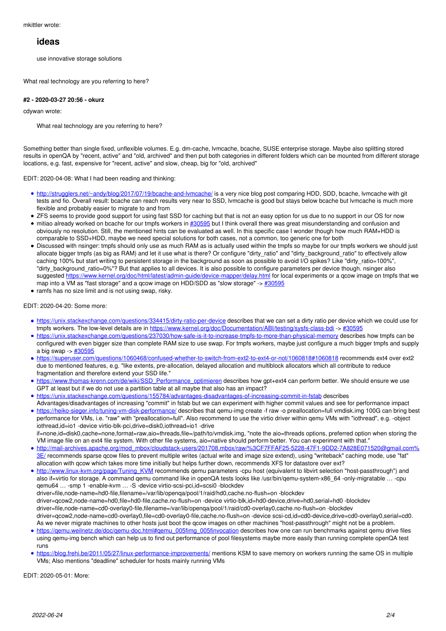mkittler wrote:

## **ideas**

use innovative storage solutions

What real technology are you referring to here?

## **#2 - 2020-03-27 20:56 - okurz**

cdywan wrote:

What real technology are you referring to here?

Something better than single fixed, unflexible volumes. E.g. dm-cache, lvmcache, bcache, SUSE enterprise storage. Maybe also splitting stored results in openQA by "recent, active" and "old, archived" and then put both categories in different folders which can be mounted from different storage locations, e.g. fast, expensive for "recent, active" and slow, cheap, big for "old, archived"

EDIT: 2020-04-08: What I had been reading and thinking:

- http://strugglers.net/~andy/blog/2017/07/19/bcache-and-lymcache/ is a very nice blog post comparing HDD, SDD, bcache, lymcache with git tests and fio. Overall result: bcache can reach results very near to SSD, lvmcache is good but stays below bcache but lvmcache is much more flexible and probably easier to migrate to and from
- ZFS seems to provide good support for using fast SSD for caching but that is not an easy option for us due to no support in our OS for now
- mitiao already worked on bcache for our tmpfs workers in [#30595](https://progress.opensuse.org/issues/30595) but I think overall there was great misunderstanding and confusion and obviously no resolution. Still, the mentioned hints can be evaluated as well. In this specific case I wonder though how much RAM+HDD is comparable to SSD+HDD, maybe we need special solutions for both cases, not a common, too generic one for both
- Discussed with nsinger: tmpfs should only use as much RAM as is actually used within the tmpfs so maybe for our tmpfs workers we should just allocate bigger tmpfs (as big as RAM) and let it use what is there? Or configure "dirty\_ratio" and "dirty\_background\_ratio" to effectively allow caching 100% but start writing to persistent storage in the background as soon as possible to avoid I/O spikes? Like "dirty\_ratio=100%", "dirty\_background\_ratio=0%"? But that applies to all devices. It is also possible to configure parameters per device though. nsinger also suggested<https://www.kernel.org/doc/html/latest/admin-guide/device-mapper/delay.html> for local experiments or a gcow image on tmpfs that we map into a VM as "fast storage" and a qcow image on HDD/SDD as "slow storage" ->  $\frac{#30595}{#30595}$
- ramfs has no size limit and is not using swap, risky.

EDIT: 2020-04-20: Some more:

- <https://unix.stackexchange.com/questions/334415/dirty-ratio-per-device>describes that we can set a dirty ratio per device which we could use for tmpfs workers. The low-level details are in<https://www.kernel.org/doc/Documentation/ABI/testing/sysfs-class-bdi>-> [#30595](https://progress.opensuse.org/issues/30595)
- <https://unix.stackexchange.com/questions/237030/how-safe-is-it-to-increase-tmpfs-to-more-than-physical-memory>describes how tmpfs can be configured with even bigger size than complete RAM size to use swap. For tmpfs workers, maybe just configure a much bigger tmpfs and supply a big swap  $\rightarrow$   $\#30595$
- <https://superuser.com/questions/1060468/confused-whether-to-switch-from-ext2-to-ext4-or-not/1060818#1060818>recommends ext4 over ext2 due to mentioned features, e.g. "like extents, pre-allocation, delayed allocation and multiblock allocators which all contribute to reduce fragmentation and therefore extend your SSD life."
- [https://www.thomas-krenn.com/de/wiki/SSD\\_Performance\\_optimieren](https://www.thomas-krenn.com/de/wiki/SSD_Performance_optimieren) describes how gpt+ext4 can perform better. We should ensure we use GPT at least but if we do not use a partition table at all maybe that also has an impact?
- <https://unix.stackexchange.com/questions/155784/advantages-disadvantages-of-increasing-commit-in-fstab>describes Advantages/disadvantages of increasing "commit" in fstab but we can experiment with higher commit values and see for performance impact
- <https://heiko-sieger.info/tuning-vm-disk-performance/>describes that qemu-img create -f raw -o preallocation=full vmdisk.img 100G can bring best performance for VMs, i.e. "raw" with "preallocation=full". Also recommend to use the virtio driver within qemu VMs with "iothread", e.g. -object iothread,id=io1 -device virtio-blk-pci,drive=disk0,iothread=io1 -drive if=none,id=disk0,cache=none,format=raw,aio=threads,file=/path/to/vmdisk.img, "note the aio=threads options, preferred option when storing the
- VM image file on an ext4 file system. With other file systems, aio=native should perform better. You can experiment with that." [http://mail-archives.apache.org/mod\\_mbox/cloudstack-users/201708.mbox/raw/%3CF7FFAF25-5228-47F1-9DD2-7A828E071520@gmail.com%](http://mail-archives.apache.org/mod_mbox/cloudstack-users/201708.mbox/raw/%3CF7FFAF25-5228-47F1-9DD2-7A828E071520@gmail.com%3E/) [3E/](http://mail-archives.apache.org/mod_mbox/cloudstack-users/201708.mbox/raw/%3CF7FFAF25-5228-47F1-9DD2-7A828E071520@gmail.com%3E/) recommends sparse gcow files to prevent multiple writes (actual write and image size extend), using "writeback" caching mode, use "fat" allocation with qcow which takes more time initially but helps further down, recommends XFS for datastore over ext?
- [http://www.linux-kvm.org/page/Tuning\\_KVM](http://www.linux-kvm.org/page/Tuning_KVM) recommends qemu parameters -cpu host (equivalent to libvirt selection "host-passthrough") and also if=virtio for storage. A command qemu command like in openQA tests looks like /usr/bin/qemu-system-x86\_64 -only-migratable … -cpu qemu64 … -smp 1 -enable-kvm … -S -device virtio-scsi-pci,id=scsi0 -blockdev driver=file,node-name=hd0-file,filename=/var/lib/openqa/pool/1/raid/hd0,cache.no-flush=on -blockdev driver=qcow2,node-name=hd0,file=hd0-file,cache.no-flush=on -device virtio-blk,id=hd0-device,drive=hd0,serial=hd0 -blockdev driver=file,node-name=cd0-overlay0-file,filename=/var/lib/openqa/pool/1/raid/cd0-overlay0,cache.no-flush=on -blockdev driver=qcow2,node-name=cd0-overlay0,file=cd0-overlay0-file,cache.no-flush=on -device scsi-cd,id=cd0-device,drive=cd0-overlay0,serial=cd0. As we never migrate machines to other hosts just boot the qcow images on other machines "host-passthrough" might not be a problem.
- . https://gemu.weilnetz.de/doc/gemu-doc.html#gemu\_005fimg\_005finvocation describes how one can run benchmarks against gemu drive files using qemu-img bench which can help us to find out performance of pool filesystems maybe more easily than running complete openQA test runs
- <https://blog.frehi.be/2011/05/27/linux-performance-improvements/>mentions KSM to save memory on workers running the same OS in multiple VMs; Also mentions "deadline" scheduler for hosts mainly running VMs

EDIT: 2020-05-01: More: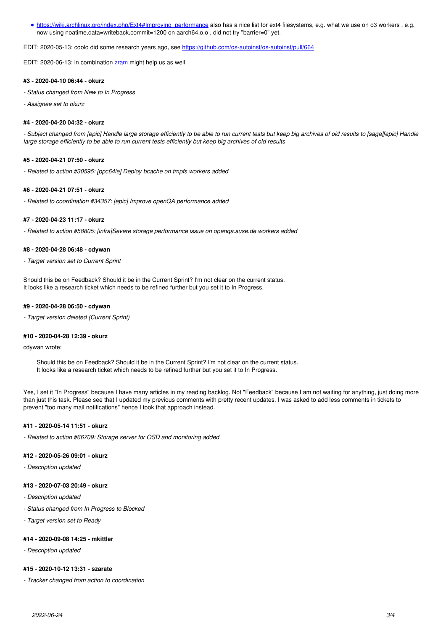• [https://wiki.archlinux.org/index.php/Ext4#Improving\\_performance](https://wiki.archlinux.org/index.php/Ext4#Improving_performance) also has a nice list for ext4 filesystems, e.g. what we use on o3 workers, e.g. now using noatime,data=writeback,commit=1200 on aarch64.o.o , did not try "barrier=0" yet.

EDIT: 2020-05-13: coolo did some research years ago, see<https://github.com/os-autoinst/os-autoinst/pull/664>

EDIT: 2020-06-13: in combination [zram](https://en.m.wikipedia.org/wiki/Zram) might help us as well

#### **#3 - 2020-04-10 06:44 - okurz**

- *Status changed from New to In Progress*
- *Assignee set to okurz*

#### **#4 - 2020-04-20 04:32 - okurz**

*- Subject changed from [epic] Handle large storage efficiently to be able to run current tests but keep big archives of old results to [saga][epic] Handle large storage efficiently to be able to run current tests efficiently but keep big archives of old results*

## **#5 - 2020-04-21 07:50 - okurz**

*- Related to action #30595: [ppc64le] Deploy bcache on tmpfs workers added*

#### **#6 - 2020-04-21 07:51 - okurz**

*- Related to coordination #34357: [epic] Improve openQA performance added*

#### **#7 - 2020-04-23 11:17 - okurz**

*- Related to action #58805: [infra]Severe storage performance issue on openqa.suse.de workers added*

#### **#8 - 2020-04-28 06:48 - cdywan**

*- Target version set to Current Sprint*

Should this be on Feedback? Should it be in the Current Sprint? I'm not clear on the current status. It looks like a research ticket which needs to be refined further but you set it to In Progress.

#### **#9 - 2020-04-28 06:50 - cdywan**

*- Target version deleted (Current Sprint)*

#### **#10 - 2020-04-28 12:39 - okurz**

cdywan wrote:

Should this be on Feedback? Should it be in the Current Sprint? I'm not clear on the current status. It looks like a research ticket which needs to be refined further but you set it to In Progress.

Yes, I set it "In Progress" because I have many articles in my reading backlog. Not "Feedback" because I am not waiting for anything, just doing more than just this task. Please see that I updated my previous comments with pretty recent updates. I was asked to add less comments in tickets to prevent "too many mail notifications" hence I took that approach instead.

#### **#11 - 2020-05-14 11:51 - okurz**

*- Related to action #66709: Storage server for OSD and monitoring added*

## **#12 - 2020-05-26 09:01 - okurz**

*- Description updated*

## **#13 - 2020-07-03 20:49 - okurz**

- *Description updated*
- *Status changed from In Progress to Blocked*
- *Target version set to Ready*

## **#14 - 2020-09-08 14:25 - mkittler**

*- Description updated*

## **#15 - 2020-10-12 13:31 - szarate**

*- Tracker changed from action to coordination*